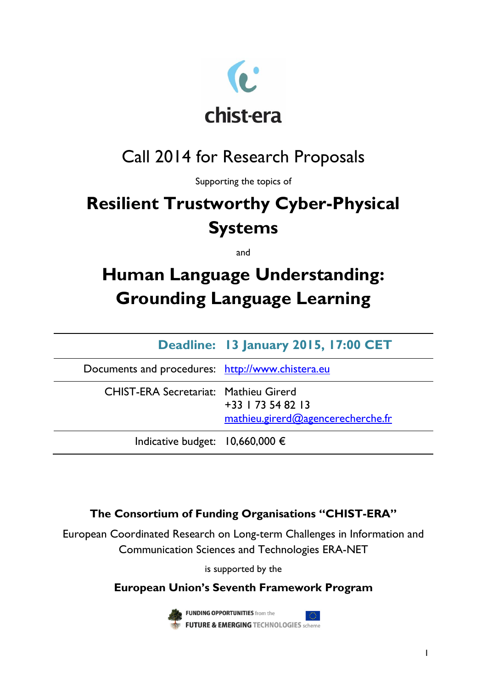

# Call 2014 for Research Proposals

Supporting the topics of

# **Resilient Trustworthy Cyber-Physical Systems**

and

# **Human Language Understanding: Grounding Language Learning**

|                                                  | Deadline: 13 January 2015, 17:00 CET                      |
|--------------------------------------------------|-----------------------------------------------------------|
| Documents and procedures: http://www.chistera.eu |                                                           |
| <b>CHIST-ERA Secretariat: Mathieu Girerd</b>     | $+33$   73 54 82   3<br>mathieu.girerd@agencerecherche.fr |
| Indicative budget: $10,660,000 \in$              |                                                           |

## **The Consortium of Funding Organisations "CHIST-ERA"**

European Coordinated Research on Long-term Challenges in Information and Communication Sciences and Technologies ERA-NET

is supported by the

## **European Union's Seventh Framework Program**



**FUNDING OPPORTUNITIES** from the **FUTURE & EMERGING TECHNOLOGIES** scheme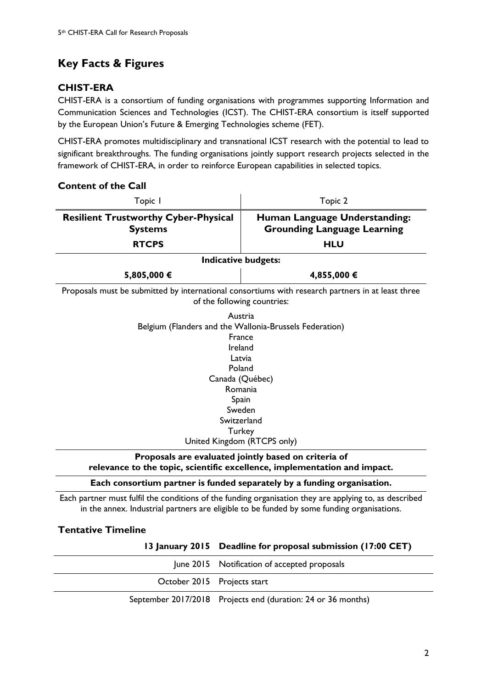## <span id="page-1-0"></span>**Key Facts & Figures**

**Content of the Call**

## **CHIST-ERA**

CHIST-ERA is a consortium of funding organisations with programmes supporting Information and Communication Sciences and Technologies (ICST). The CHIST-ERA consortium is itself supported by the European Union's Future & Emerging Technologies scheme (FET).

CHIST-ERA promotes multidisciplinary and transnational ICST research with the potential to lead to significant breakthroughs. The funding organisations jointly support research projects selected in the framework of CHIST-ERA, in order to reinforce European capabilities in selected topics.

| Topic I                                                                                                                                                                                                              | Topic 2                                                             |  |  |  |
|----------------------------------------------------------------------------------------------------------------------------------------------------------------------------------------------------------------------|---------------------------------------------------------------------|--|--|--|
| <b>Resilient Trustworthy Cyber-Physical</b><br><b>Systems</b>                                                                                                                                                        | Human Language Understanding:<br><b>Grounding Language Learning</b> |  |  |  |
| <b>RTCPS</b>                                                                                                                                                                                                         | <b>HLU</b>                                                          |  |  |  |
|                                                                                                                                                                                                                      | Indicative budgets:                                                 |  |  |  |
| 5,805,000 €                                                                                                                                                                                                          | 4,855,000 €                                                         |  |  |  |
| Proposals must be submitted by international consortiums with research partners in at least three<br>of the following countries:                                                                                     |                                                                     |  |  |  |
| Austria<br>Belgium (Flanders and the Wallonia-Brussels Federation)<br>France<br>Ireland<br>Latvia<br>Poland<br>Canada (Québec)<br>Romania<br>Spain<br>Sweden<br>Switzerland<br>Turkey<br>United Kingdom (RTCPS only) |                                                                     |  |  |  |
| Proposals are evaluated jointly based on criteria of<br>relevance to the topic, scientific excellence, implementation and impact.                                                                                    |                                                                     |  |  |  |
| Each consortium partner is funded separately by a funding organisation.                                                                                                                                              |                                                                     |  |  |  |

Each partner must fulfil the conditions of the funding organisation they are applying to, as described in the annex. Industrial partners are eligible to be funded by some funding organisations.

## **Tentative Timeline**

**13 January 2015 Deadline for proposal submission (17:00 CET)**

|                             | June 2015 Notification of accepted proposals                 |
|-----------------------------|--------------------------------------------------------------|
| October 2015 Projects start |                                                              |
|                             | September 2017/2018 Projects end (duration: 24 or 36 months) |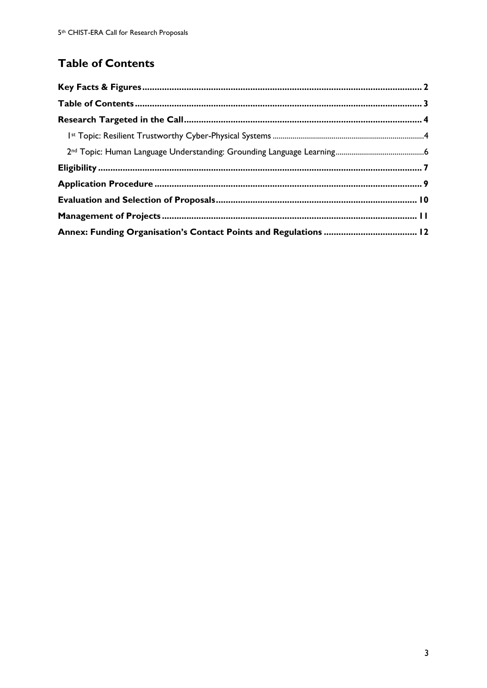## <span id="page-2-0"></span>**Table of Contents**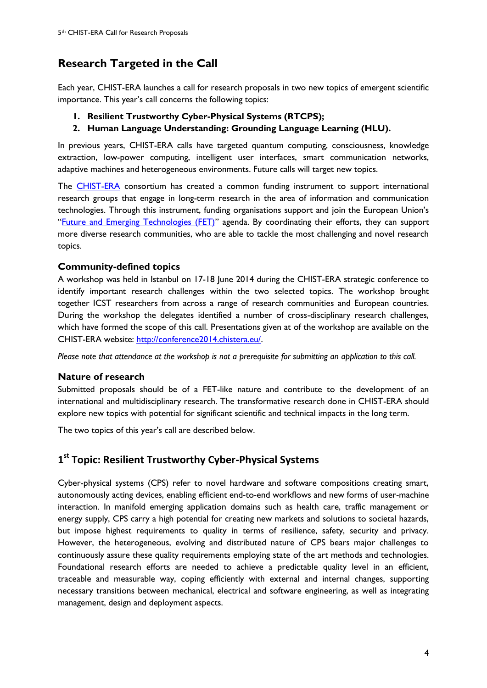## <span id="page-3-0"></span>**Research Targeted in the Call**

Each year, CHIST-ERA launches a call for research proposals in two new topics of emergent scientific importance. This year's call concerns the following topics:

- **1. Resilient Trustworthy Cyber-Physical Systems (RTCPS);**
- **2. Human Language Understanding: Grounding Language Learning (HLU).**

In previous years, CHIST-ERA calls have targeted quantum computing, consciousness, knowledge extraction, low-power computing, intelligent user interfaces, smart communication networks, adaptive machines and heterogeneous environments. Future calls will target new topics.

The **CHIST-ERA** consortium has created a common funding instrument to support international research groups that engage in long-term research in the area of information and communication technologies. Through this instrument, funding organisations support and join the European Union's "[Future and Emerging Technologies](http://cordis.europa.eu/fp7/ict/programme/fet_en.html) (FET)" agenda. By coordinating their efforts, they can support more diverse research communities, who are able to tackle the most challenging and novel research topics.

### **Community-defined topics**

A workshop was held in Istanbul on 17-18 June 2014 during the CHIST-ERA strategic conference to identify important research challenges within the two selected topics. The workshop brought together ICST researchers from across a range of research communities and European countries. During the workshop the delegates identified a number of cross-disciplinary research challenges, which have formed the scope of this call. Presentations given at of the workshop are available on the CHIST-ERA website: [http://conference2014.chistera.eu/.](http://conference2014.chistera.eu/)

*Please note that attendance at the workshop is not a prerequisite for submitting an application to this call.*

### **Nature of research**

Submitted proposals should be of a FET-like nature and contribute to the development of an international and multidisciplinary research. The transformative research done in CHIST-ERA should explore new topics with potential for significant scientific and technical impacts in the long term.

The two topics of this year's call are described below.

## <span id="page-3-1"></span>**1 st Topic: Resilient Trustworthy Cyber-Physical Systems**

Cyber-physical systems (CPS) refer to novel hardware and software compositions creating smart, autonomously acting devices, enabling efficient end-to-end workflows and new forms of user-machine interaction. In manifold emerging application domains such as health care, traffic management or energy supply, CPS carry a high potential for creating new markets and solutions to societal hazards, but impose highest requirements to quality in terms of resilience, safety, security and privacy. However, the heterogeneous, evolving and distributed nature of CPS bears major challenges to continuously assure these quality requirements employing state of the art methods and technologies. Foundational research efforts are needed to achieve a predictable quality level in an efficient, traceable and measurable way, coping efficiently with external and internal changes, supporting necessary transitions between mechanical, electrical and software engineering, as well as integrating management, design and deployment aspects.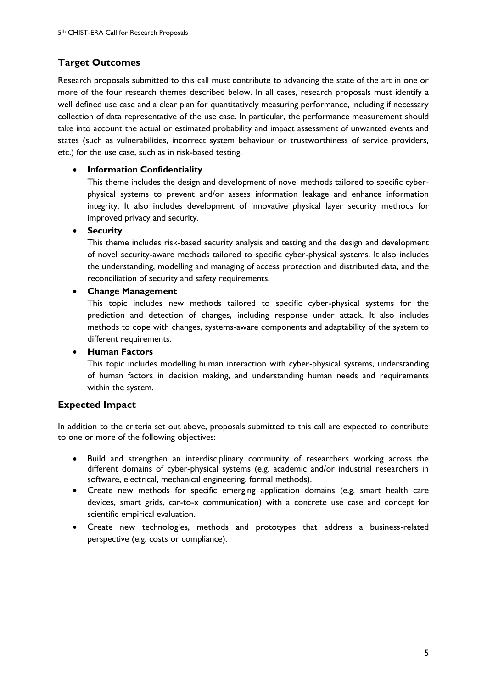## **Target Outcomes**

Research proposals submitted to this call must contribute to advancing the state of the art in one or more of the four research themes described below. In all cases, research proposals must identify a well defined use case and a clear plan for quantitatively measuring performance, including if necessary collection of data representative of the use case. In particular, the performance measurement should take into account the actual or estimated probability and impact assessment of unwanted events and states (such as vulnerabilities, incorrect system behaviour or trustworthiness of service providers, etc.) for the use case, such as in risk-based testing.

### **Information Confidentiality**

This theme includes the design and development of novel methods tailored to specific cyberphysical systems to prevent and/or assess information leakage and enhance information integrity. It also includes development of innovative physical layer security methods for improved privacy and security.

**Security**

This theme includes risk-based security analysis and testing and the design and development of novel security-aware methods tailored to specific cyber-physical systems. It also includes the understanding, modelling and managing of access protection and distributed data, and the reconciliation of security and safety requirements.

### **Change Management**

This topic includes new methods tailored to specific cyber-physical systems for the prediction and detection of changes, including response under attack. It also includes methods to cope with changes, systems-aware components and adaptability of the system to different requirements.

#### **Human Factors**

This topic includes modelling human interaction with cyber-physical systems, understanding of human factors in decision making, and understanding human needs and requirements within the system.

### **Expected Impact**

In addition to the criteria set out above, proposals submitted to this call are expected to contribute to one or more of the following objectives:

- Build and strengthen an interdisciplinary community of researchers working across the different domains of cyber-physical systems (e.g. academic and/or industrial researchers in software, electrical, mechanical engineering, formal methods).
- Create new methods for specific emerging application domains (e.g. smart health care devices, smart grids, car-to-x communication) with a concrete use case and concept for scientific empirical evaluation.
- Create new technologies, methods and prototypes that address a business-related perspective (e.g. costs or compliance).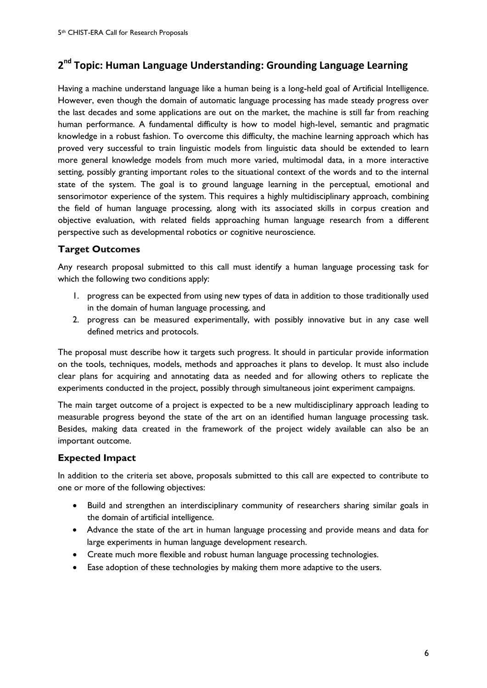## <span id="page-5-0"></span>**2 nd Topic: Human Language Understanding: Grounding Language Learning**

Having a machine understand language like a human being is a long-held goal of Artificial Intelligence. However, even though the domain of automatic language processing has made steady progress over the last decades and some applications are out on the market, the machine is still far from reaching human performance. A fundamental difficulty is how to model high-level, semantic and pragmatic knowledge in a robust fashion. To overcome this difficulty, the machine learning approach which has proved very successful to train linguistic models from linguistic data should be extended to learn more general knowledge models from much more varied, multimodal data, in a more interactive setting, possibly granting important roles to the situational context of the words and to the internal state of the system. The goal is to ground language learning in the perceptual, emotional and sensorimotor experience of the system. This requires a highly multidisciplinary approach, combining the field of human language processing, along with its associated skills in corpus creation and objective evaluation, with related fields approaching human language research from a different perspective such as developmental robotics or cognitive neuroscience.

## **Target Outcomes**

Any research proposal submitted to this call must identify a human language processing task for which the following two conditions apply:

- 1. progress can be expected from using new types of data in addition to those traditionally used in the domain of human language processing, and
- 2. progress can be measured experimentally, with possibly innovative but in any case well defined metrics and protocols.

The proposal must describe how it targets such progress. It should in particular provide information on the tools, techniques, models, methods and approaches it plans to develop. It must also include clear plans for acquiring and annotating data as needed and for allowing others to replicate the experiments conducted in the project, possibly through simultaneous joint experiment campaigns.

The main target outcome of a project is expected to be a new multidisciplinary approach leading to measurable progress beyond the state of the art on an identified human language processing task. Besides, making data created in the framework of the project widely available can also be an important outcome.

### **Expected Impact**

In addition to the criteria set above, proposals submitted to this call are expected to contribute to one or more of the following objectives:

- Build and strengthen an interdisciplinary community of researchers sharing similar goals in the domain of artificial intelligence.
- Advance the state of the art in human language processing and provide means and data for large experiments in human language development research.
- Create much more flexible and robust human language processing technologies.
- Ease adoption of these technologies by making them more adaptive to the users.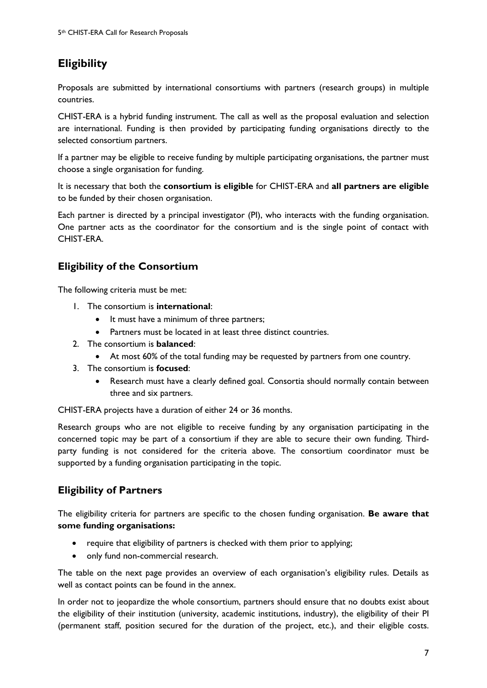## <span id="page-6-0"></span>**Eligibility**

Proposals are submitted by international consortiums with partners (research groups) in multiple countries.

CHIST-ERA is a hybrid funding instrument. The call as well as the proposal evaluation and selection are international. Funding is then provided by participating funding organisations directly to the selected consortium partners.

If a partner may be eligible to receive funding by multiple participating organisations, the partner must choose a single organisation for funding.

It is necessary that both the **consortium is eligible** for CHIST-ERA and **all partners are eligible** to be funded by their chosen organisation.

Each partner is directed by a principal investigator (PI), who interacts with the funding organisation. One partner acts as the coordinator for the consortium and is the single point of contact with CHIST-ERA.

## **Eligibility of the Consortium**

The following criteria must be met:

- 1. The consortium is **international**:
	- It must have a minimum of three partners;
	- Partners must be located in at least three distinct countries.
- 2. The consortium is **balanced**:
	- At most 60% of the total funding may be requested by partners from one country.
- 3. The consortium is **focused**:
	- Research must have a clearly defined goal. Consortia should normally contain between three and six partners.

CHIST-ERA projects have a duration of either 24 or 36 months.

Research groups who are not eligible to receive funding by any organisation participating in the concerned topic may be part of a consortium if they are able to secure their own funding. Thirdparty funding is not considered for the criteria above. The consortium coordinator must be supported by a funding organisation participating in the topic.

## **Eligibility of Partners**

The eligibility criteria for partners are specific to the chosen funding organisation. **Be aware that some funding organisations:**

- require that eligibility of partners is checked with them prior to applying;
- only fund non-commercial research.

The table on the next page provides an overview of each organisation's eligibility rules. Details as well as contact points can be found in the annex.

In order not to jeopardize the whole consortium, partners should ensure that no doubts exist about the eligibility of their institution (university, academic institutions, industry), the eligibility of their PI (permanent staff, position secured for the duration of the project, etc.), and their eligible costs.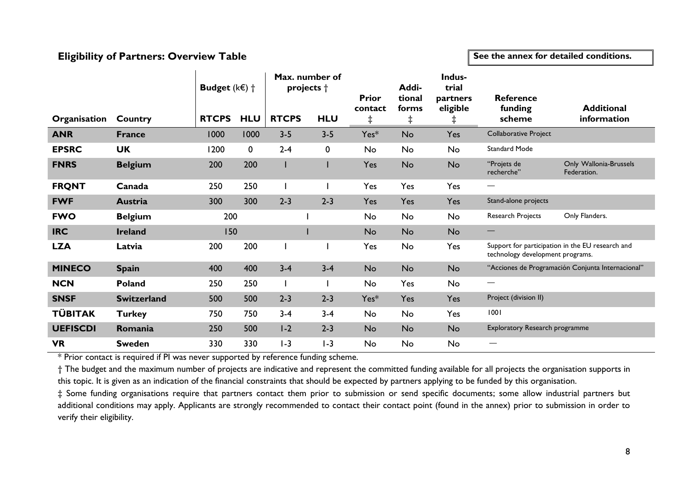## **Eligibility of Partners: Overview Table**

**See the annex for detailed conditions.**

|                 |                    | <b>Budget</b> ( $k \in \mathbb{R}$ ) $\dagger$ |             | projects +   | Max. number of | <b>Prior</b><br>contact | Addi-<br>tional<br>forms | Indus-<br>trial<br>partners<br>eligible | <b>Reference</b><br>funding      | <b>Additional</b>                                 |
|-----------------|--------------------|------------------------------------------------|-------------|--------------|----------------|-------------------------|--------------------------|-----------------------------------------|----------------------------------|---------------------------------------------------|
| Organisation    | Country            | <b>RTCPS</b>                                   | <b>HLU</b>  | <b>RTCPS</b> | <b>HLU</b>     | $\ddagger$              | $\ddagger$               | Ŧ.                                      | scheme                           | information                                       |
| <b>ANR</b>      | <b>France</b>      | 1000                                           | 1000        | $3 - 5$      | $3 - 5$        | Yes*                    | No                       | Yes                                     | <b>Collaborative Project</b>     |                                                   |
| <b>EPSRC</b>    | <b>UK</b>          | 1200                                           | $\mathbf 0$ | $2 - 4$      | 0              | No                      | No                       | No                                      | <b>Standard Mode</b>             |                                                   |
| <b>FNRS</b>     | <b>Belgium</b>     | 200                                            | 200         |              |                | Yes                     | <b>No</b>                | <b>No</b>                               | "Projets de<br>recherche"        | Only Wallonia-Brussels<br>Federation.             |
| <b>FRQNT</b>    | Canada             | 250                                            | 250         |              |                | Yes                     | Yes                      | Yes                                     | $\hspace{0.05cm}$                |                                                   |
| <b>FWF</b>      | Austria            | 300                                            | 300         | $2 - 3$      | $2 - 3$        | Yes                     | Yes                      | Yes                                     | Stand-alone projects             |                                                   |
| <b>FWO</b>      | <b>Belgium</b>     | 200                                            |             |              |                | No                      | No                       | No                                      | Research Projects                | Only Flanders.                                    |
| <b>IRC</b>      | <b>Ireland</b>     | 150                                            |             |              |                | No                      | <b>No</b>                | <b>No</b>                               | $\overbrace{\phantom{123321}}$   |                                                   |
| <b>LZA</b>      | Latvia             | 200                                            | 200         |              |                | Yes                     | No                       | Yes                                     | technology development programs. | Support for participation in the EU research and  |
| <b>MINECO</b>   | <b>Spain</b>       | 400                                            | 400         | $3 - 4$      | $3 - 4$        | <b>No</b>               | No                       | <b>No</b>                               |                                  | "Acciones de Programación Conjunta Internacional" |
| <b>NCN</b>      | <b>Poland</b>      | 250                                            | 250         |              |                | No                      | Yes                      | No                                      | —                                |                                                   |
| <b>SNSF</b>     | <b>Switzerland</b> | 500                                            | 500         | $2 - 3$      | $2 - 3$        | Yes*                    | Yes                      | Yes                                     | Project (division II)            |                                                   |
| <b>TÜBITAK</b>  | <b>Turkey</b>      | 750                                            | 750         | $3 - 4$      | $3 - 4$        | No                      | No                       | Yes                                     | 1001                             |                                                   |
| <b>UEFISCDI</b> | Romania            | 250                                            | 500         | $1-2$        | $2 - 3$        | No                      | No                       | <b>No</b>                               | Exploratory Research programme   |                                                   |
| <b>VR</b>       | <b>Sweden</b>      | 330                                            | 330         | $1-3$        | $I - 3$        | No                      | No                       | No                                      | —                                |                                                   |

\* Prior contact is required if PI was never supported by reference funding scheme.

† The budget and the maximum number of projects are indicative and represent the committed funding available for all projects the organisation supports in this topic. It is given as an indication of the financial constraints that should be expected by partners applying to be funded by this organisation.

‡ Some funding organisations require that partners contact them prior to submission or send specific documents; some allow industrial partners but additional conditions may apply. Applicants are strongly recommended to contact their contact point (found in the annex) prior to submission in order to verify their eligibility.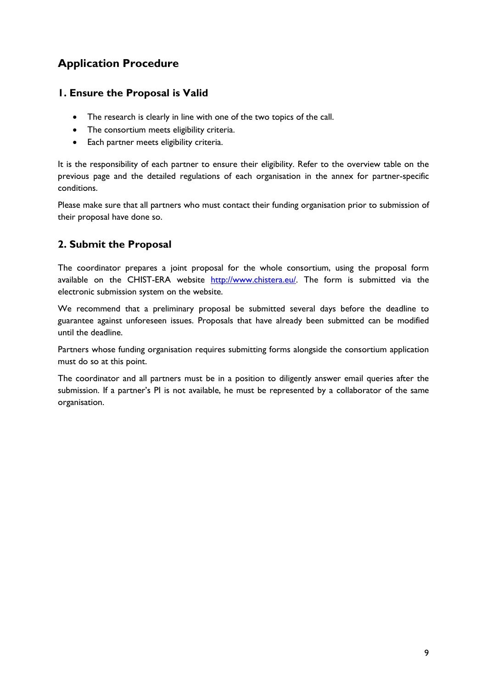## <span id="page-8-0"></span>**Application Procedure**

## **1. Ensure the Proposal is Valid**

- The research is clearly in line with one of the two topics of the call.
- The consortium meets eligibility criteria.
- Each partner meets eligibility criteria.

It is the responsibility of each partner to ensure their eligibility. Refer to the overview table on the previous page and the detailed regulations of each organisation in the annex for partner-specific conditions.

Please make sure that all partners who must contact their funding organisation prior to submission of their proposal have done so.

## **2. Submit the Proposal**

The coordinator prepares a joint proposal for the whole consortium, using the proposal form available on the CHIST-ERA website [http://www.chistera.eu/.](http://www.chistera.eu/) The form is submitted via the electronic submission system on the website.

We recommend that a preliminary proposal be submitted several days before the deadline to guarantee against unforeseen issues. Proposals that have already been submitted can be modified until the deadline.

Partners whose funding organisation requires submitting forms alongside the consortium application must do so at this point.

The coordinator and all partners must be in a position to diligently answer email queries after the submission. If a partner's PI is not available, he must be represented by a collaborator of the same organisation.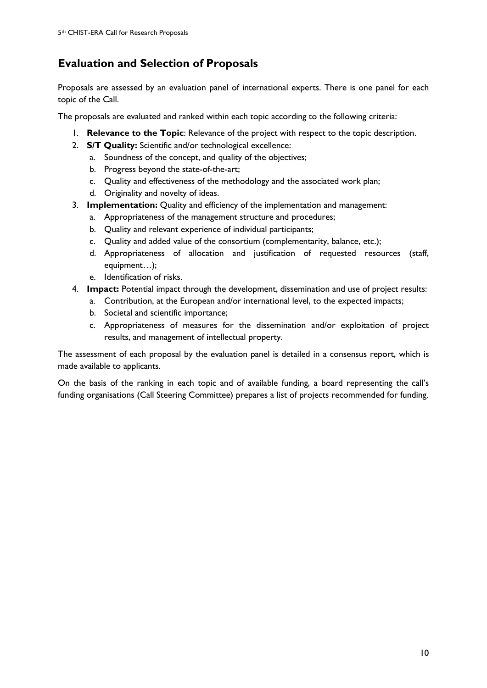## <span id="page-9-0"></span>**Evaluation and Selection of Proposals**

Proposals are assessed by an evaluation panel of international experts. There is one panel for each topic of the Call.

The proposals are evaluated and ranked within each topic according to the following criteria:

- 1. **Relevance to the Topic**: Relevance of the project with respect to the topic description.
- 2. **S/T Quality:** Scientific and/or technological excellence:
	- a. Soundness of the concept, and quality of the objectives;
	- b. Progress beyond the state-of-the-art;
	- c. Quality and effectiveness of the methodology and the associated work plan;
	- d. Originality and novelty of ideas.
- 3. **Implementation:** Quality and efficiency of the implementation and management:
	- a. Appropriateness of the management structure and procedures;
	- b. Quality and relevant experience of individual participants;
	- c. Quality and added value of the consortium (complementarity, balance, etc.);
	- d. Appropriateness of allocation and justification of requested resources (staff, equipment…);
	- e. Identification of risks.
- 4. **Impact:** Potential impact through the development, dissemination and use of project results:
	- a. Contribution, at the European and/or international level, to the expected impacts;
	- b. Societal and scientific importance;
	- c. Appropriateness of measures for the dissemination and/or exploitation of project results, and management of intellectual property.

The assessment of each proposal by the evaluation panel is detailed in a consensus report, which is made available to applicants.

On the basis of the ranking in each topic and of available funding, a board representing the call's funding organisations (Call Steering Committee) prepares a list of projects recommended for funding.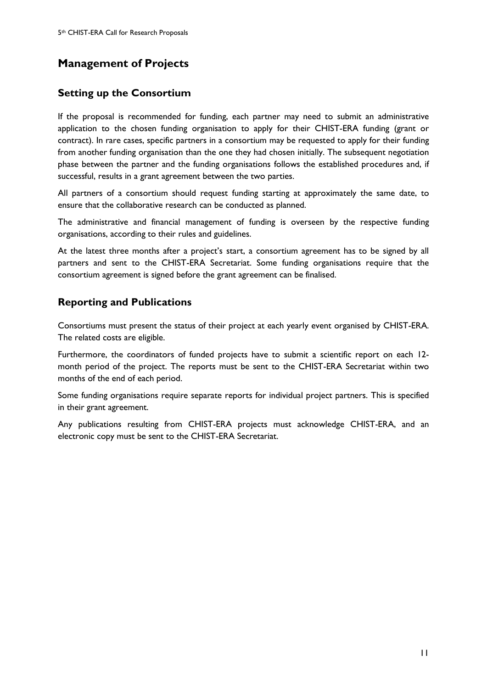## <span id="page-10-0"></span>**Management of Projects**

## **Setting up the Consortium**

If the proposal is recommended for funding, each partner may need to submit an administrative application to the chosen funding organisation to apply for their CHIST-ERA funding (grant or contract). In rare cases, specific partners in a consortium may be requested to apply for their funding from another funding organisation than the one they had chosen initially. The subsequent negotiation phase between the partner and the funding organisations follows the established procedures and, if successful, results in a grant agreement between the two parties.

All partners of a consortium should request funding starting at approximately the same date, to ensure that the collaborative research can be conducted as planned.

The administrative and financial management of funding is overseen by the respective funding organisations, according to their rules and guidelines.

At the latest three months after a project's start, a consortium agreement has to be signed by all partners and sent to the CHIST-ERA Secretariat. Some funding organisations require that the consortium agreement is signed before the grant agreement can be finalised.

## **Reporting and Publications**

Consortiums must present the status of their project at each yearly event organised by CHIST-ERA. The related costs are eligible.

Furthermore, the coordinators of funded projects have to submit a scientific report on each 12 month period of the project. The reports must be sent to the CHIST-ERA Secretariat within two months of the end of each period.

Some funding organisations require separate reports for individual project partners. This is specified in their grant agreement.

Any publications resulting from CHIST-ERA projects must acknowledge CHIST-ERA, and an electronic copy must be sent to the CHIST-ERA Secretariat.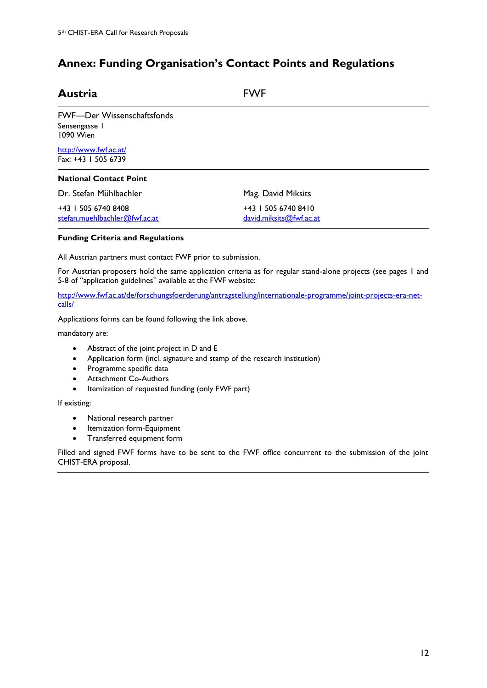## <span id="page-11-0"></span>**Annex: Funding Organisation's Contact Points and Regulations**

| <b>Austria</b>                                                  | <b>FWF</b>                                     |  |
|-----------------------------------------------------------------|------------------------------------------------|--|
| <b>FWF-Der Wissenschaftsfonds</b><br>Sensengasse I<br>1090 Wien |                                                |  |
| http://www.fwf.ac.at/<br>Fax: +43   505 6739                    |                                                |  |
| <b>National Contact Point</b>                                   |                                                |  |
| Dr. Stefan Mühlbachler                                          | Mag. David Miksits                             |  |
| +43   505 6740 8408<br>stefan.muehlbachler@fwf.ac.at            | +43   505 6740 8410<br>david.miksits@fwf.ac.at |  |

#### **Funding Criteria and Regulations**

All Austrian partners must contact FWF prior to submission.

For Austrian proposers hold the same application criteria as for regular stand-alone projects (see pages 1 and 5-8 of "application guidelines" available at the FWF website:

[http://www.fwf.ac.at/de/forschungsfoerderung/antragstellung/internationale-programme/joint-projects-era-net](http://www.fwf.ac.at/de/forschungsfoerderung/antragstellung/internationale-programme/joint-projects-era-net-calls/)[calls/](http://www.fwf.ac.at/de/forschungsfoerderung/antragstellung/internationale-programme/joint-projects-era-net-calls/)

Applications forms can be found following the link above.

mandatory are:

- Abstract of the joint project in D and E
- Application form (incl. signature and stamp of the research institution)
- Programme specific data
- Attachment Co-Authors
- Itemization of requested funding (only FWF part)

If existing:

- National research partner
- Itemization form-Equipment
- Transferred equipment form

Filled and signed FWF forms have to be sent to the FWF office concurrent to the submission of the joint CHIST-ERA proposal.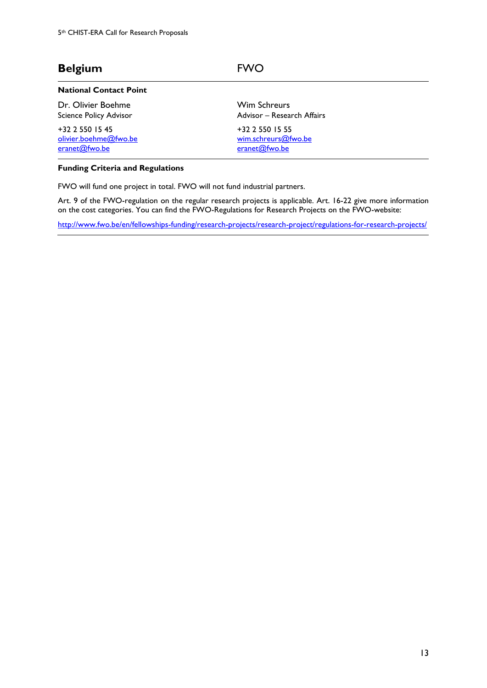## **Belgium** FWO

[eranet@fwo.be](mailto:eranet@fwo.be)

#### **National Contact Point**

Dr. Olivier Boehme Science Policy Advisor +32 2 550 15 45 [olivier.boehme@fwo.be](mailto:olivier.boehme@fwo.be) Wim Schreurs Advisor – Research Affairs +32 2 550 15 55

[wim.schreurs@fwo.be](mailto:wim.schreurs@fwo.be) [eranet@fwo.be](mailto:eranet@fwo.be)

#### **Funding Criteria and Regulations**

FWO will fund one project in total. FWO will not fund industrial partners.

Art. 9 of the FWO-regulation on the regular research projects is applicable. Art. 16-22 give more information on the cost categories. You can find the FWO-Regulations for Research Projects on the FWO-website:

<http://www.fwo.be/en/fellowships-funding/research-projects/research-project/regulations-for-research-projects/>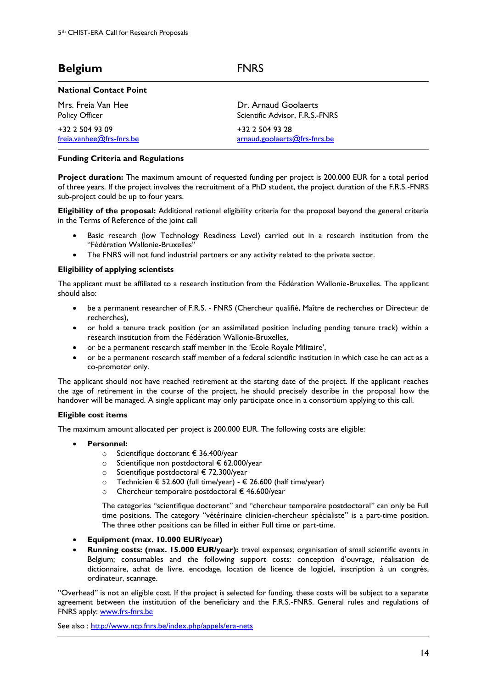| Belgium |  |  |
|---------|--|--|
|         |  |  |

#### **National Contact Point**

| Mrs. Freia Van Hee         | Dr. Arnaud Goolaerts            |
|----------------------------|---------------------------------|
| Policy Officer             | Scientific Advisor, F.R.S.-FNRS |
| $+32$ 2 504 93 09          | +32 2 504 93 28                 |
| $freia.vanhee@frs-fnrs.be$ | arnaud.goolaerts@frs-fnrs.be    |

#### **Funding Criteria and Regulations**

**Project duration:** The maximum amount of requested funding per project is 200.000 EUR for a total period of three years. If the project involves the recruitment of a PhD student, the project duration of the F.R.S.-FNRS sub-project could be up to four years.

**Belgium** FNRS

**Eligibility of the proposal:** Additional national eligibility criteria for the proposal beyond the general criteria in the Terms of Reference of the joint call

- Basic research (low Technology Readiness Level) carried out in a research institution from the "Fédération Wallonie-Bruxelles"
- The FNRS will not fund industrial partners or any activity related to the private sector.

#### **Eligibility of applying scientists**

The applicant must be affiliated to a research institution from the Fédération Wallonie-Bruxelles. The applicant should also:

- be a permanent researcher of F.R.S. FNRS (Chercheur qualifié, Maître de recherches or Directeur de recherches),
- or hold a tenure track position (or an assimilated position including pending tenure track) within a research institution from the Fédération Wallonie-Bruxelles,
- or be a permanent research staff member in the 'Ecole Royale Militaire',
- or be a permanent research staff member of a federal scientific institution in which case he can act as a co-promotor only.

The applicant should not have reached retirement at the starting date of the project. If the applicant reaches the age of retirement in the course of the project, he should precisely describe in the proposal how the handover will be managed. A single applicant may only participate once in a consortium applying to this call.

#### **Eligible cost items**

The maximum amount allocated per project is 200.000 EUR. The following costs are eligible:

- **Personnel:** 
	- o Scientifique doctorant € 36.400/year
		- o Scientifique non postdoctoral € 62.000/year
		- o Scientifique postdoctoral € 72.300/year
		- o Technicien € 52.600 (full time/year) € 26.600 (half time/year)
		- o Chercheur temporaire postdoctoral € 46.600/year

The categories "scientifique doctorant" and "chercheur temporaire postdoctoral" can only be Full time positions. The category "vétérinaire clinicien-chercheur spécialiste" is a part-time position. The three other positions can be filled in either Full time or part-time.

- **Equipment (max. 10.000 EUR/year)**
- **Running costs: (max. 15.000 EUR/year):** travel expenses; organisation of small scientific events in Belgium; consumables and the following support costs: conception d'ouvrage, réalisation de dictionnaire, achat de livre, encodage, location de licence de logiciel, inscription à un congrès, ordinateur, scannage.

"Overhead" is not an eligible cost. If the project is selected for funding, these costs will be subject to a separate agreement between the institution of the beneficiary and the F.R.S.-FNRS. General rules and regulations of FNRS apply: [www.frs-fnrs.be](http://www.frs-fnrs.be/)

See also :<http://www.ncp.fnrs.be/index.php/appels/era-nets>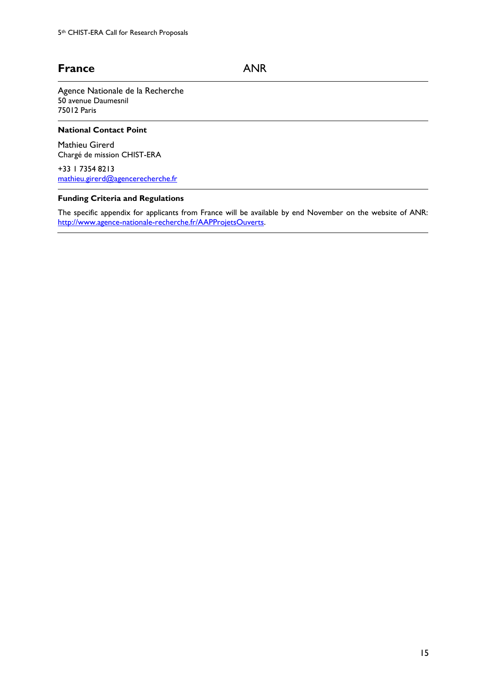## France **ANR**

Agence Nationale de la Recherche 50 avenue Daumesnil 75012 Paris

### **National Contact Point**

Mathieu Girerd Chargé de mission CHIST-ERA

+33 1 7354 8213 [mathieu.girerd@agencerecherche.fr](mailto:mathieu.girerd@agencerecherche.fr)

#### **Funding Criteria and Regulations**

The specific appendix for applicants from France will be available by end November on the website of ANR: [http://www.agence-nationale-recherche.fr/AAPProjetsOuverts.](http://www.agence-nationale-recherche.fr/AAPProjetsOuverts)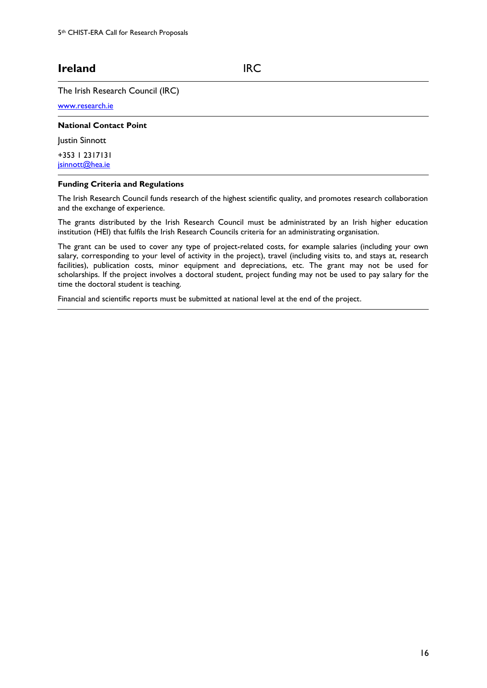## **Ireland** IRC

#### The Irish Research Council (IRC)

[www.research.ie](http://www.research.ie/)

#### **National Contact Point**

**Justin Sinnott** 

+353 1 2317131 [jsinnott@hea.ie](mailto:jsinnott@hea.ie)

#### **Funding Criteria and Regulations**

The Irish Research Council funds research of the highest scientific quality, and promotes research collaboration and the exchange of experience.

The grants distributed by the Irish Research Council must be administrated by an Irish higher education institution (HEI) that fulfils the Irish Research Councils criteria for an administrating organisation.

The grant can be used to cover any type of project-related costs, for example salaries (including your own salary, corresponding to your level of activity in the project), travel (including visits to, and stays at, research facilities), publication costs, minor equipment and depreciations, etc. The grant may not be used for scholarships. If the project involves a doctoral student, project funding may not be used to pay salary for the time the doctoral student is teaching.

Financial and scientific reports must be submitted at national level at the end of the project.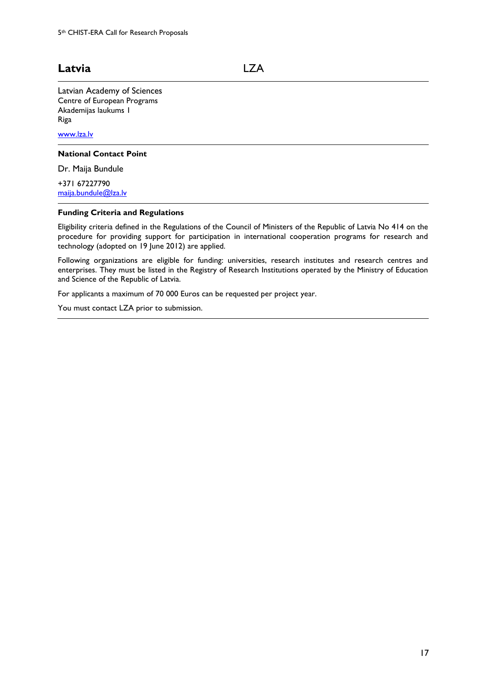## **Latvia** LZA

Latvian Academy of Sciences Centre of European Programs Akademijas laukums 1 Riga

[www.lza.lv](http://www.lza.lv/)

#### **National Contact Point**

Dr. Maija Bundule

+371 67227790 [maija.bundule@lza.lv](mailto:maija.bundule@lza.lv)

#### **Funding Criteria and Regulations**

Eligibility criteria defined in the Regulations of the Council of Ministers of the Republic of Latvia No 414 on the procedure for providing support for participation in international cooperation programs for research and technology (adopted on 19 June 2012) are applied.

Following organizations are eligible for funding: universities, research institutes and research centres and enterprises. They must be listed in the Registry of Research Institutions operated by the Ministry of Education and Science of the Republic of Latvia.

For applicants a maximum of 70 000 Euros can be requested per project year.

You must contact LZA prior to submission.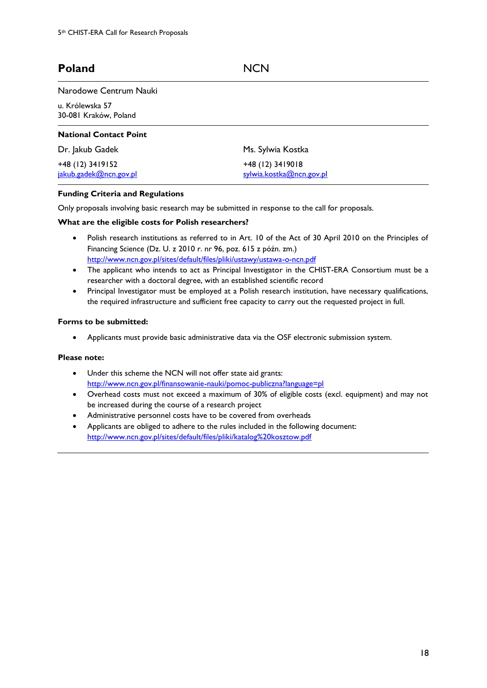## Poland NCN

#### Narodowe Centrum Nauki

u. Królewska 57 30-081 Kraków, Poland

| <b>National Contact Point</b>              |                                              |
|--------------------------------------------|----------------------------------------------|
| Dr. Jakub Gadek                            | Ms. Sylwia Kostka                            |
| +48 (12) 3419152<br>jakub.gadek@ncn.gov.pl | +48 (12) 3419018<br>sylwia.kostka@ncn.gov.pl |

#### **Funding Criteria and Regulations**

Only proposals involving basic research may be submitted in response to the call for proposals.

#### **What are the eligible costs for Polish researchers?**

- Polish research institutions as referred to in Art. 10 of the Act of 30 April 2010 on the Principles of Financing Science (Dz. U. z 2010 r. nr 96, poz. 615 z późn. zm.) <http://www.ncn.gov.pl/sites/default/files/pliki/ustawy/ustawa-o-ncn.pdf>
- The applicant who intends to act as Principal Investigator in the CHIST-ERA Consortium must be a researcher with a doctoral degree, with an established scientific record
- Principal Investigator must be employed at a Polish research institution, have necessary qualifications, the required infrastructure and sufficient free capacity to carry out the requested project in full.

#### **Forms to be submitted:**

Applicants must provide basic administrative data via the OSF electronic submission system.

#### **Please note:**

- Under this scheme the NCN will not offer state aid grants: <http://www.ncn.gov.pl/finansowanie-nauki/pomoc-publiczna?language=pl>
- Overhead costs must not exceed a maximum of 30% of eligible costs (excl. equipment) and may not be increased during the course of a research project
- Administrative personnel costs have to be covered from overheads
- Applicants are obliged to adhere to the rules included in the following document: <http://www.ncn.gov.pl/sites/default/files/pliki/katalog%20kosztow.pdf>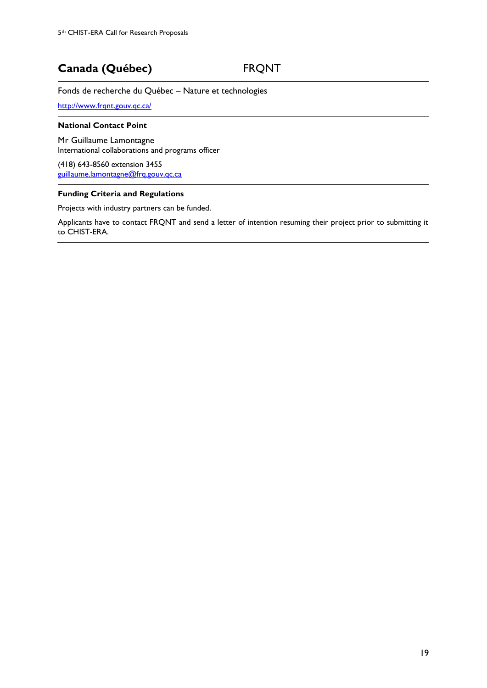## **Canada (Québec)** FRQNT

Fonds de recherche du Québec – Nature et technologies

<http://www.frqnt.gouv.qc.ca/>

#### **National Contact Point**

Mr Guillaume Lamontagne International collaborations and programs officer

(418) 643-8560 extension 3455 [guillaume.lamontagne@frq.gouv.qc.ca](mailto:guillaume.lamontagne@frq.gouv.qc.ca)

#### **Funding Criteria and Regulations**

Projects with industry partners can be funded.

Applicants have to contact FRQNT and send a letter of intention resuming their project prior to submitting it to CHIST-ERA.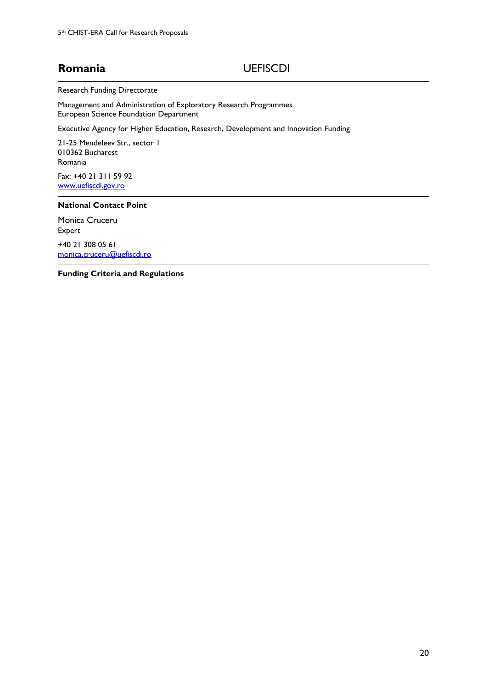## **Romania** UEFISCDI

Research Funding Directorate

Management and Administration of Exploratory Research Programmes European Science Foundation Department

Executive Agency for Higher Education, Research, Development and Innovation Funding

21-25 Mendeleev Str., sector 1 010362 Bucharest Romania

Fax: +40 21 311 59 92 [www.uefiscdi.gov.ro](http://www.uefiscdi.gov.ro/)

#### **National Contact Point**

Monica Cruceru Expert

+40 21 308 05 61 [monica.cruceru@uefiscdi.ro](mailto:monica.cruceru@uefiscdi.ro)

**Funding Criteria and Regulations**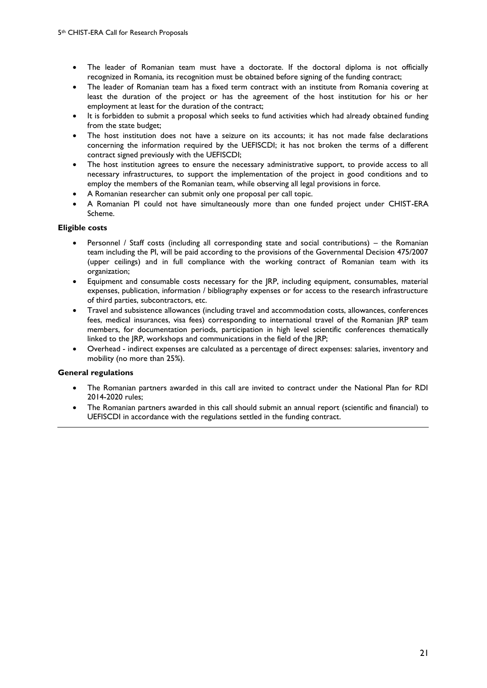- The leader of Romanian team must have a doctorate. If the doctoral diploma is not officially recognized in Romania, its recognition must be obtained before signing of the funding contract;
- The leader of Romanian team has a fixed term contract with an institute from Romania covering at least the duration of the project or has the agreement of the host institution for his or her employment at least for the duration of the contract;
- It is forbidden to submit a proposal which seeks to fund activities which had already obtained funding from the state budget;
- The host institution does not have a seizure on its accounts; it has not made false declarations concerning the information required by the UEFISCDI; it has not broken the terms of a different contract signed previously with the UEFISCDI;
- The host institution agrees to ensure the necessary administrative support, to provide access to all necessary infrastructures, to support the implementation of the project in good conditions and to employ the members of the Romanian team, while observing all legal provisions in force.
- A Romanian researcher can submit only one proposal per call topic.
- A Romanian PI could not have simultaneously more than one funded project under CHIST-ERA Scheme.

#### **Eligible costs**

- Personnel / Staff costs (including all corresponding state and social contributions) the Romanian team including the PI, will be paid according to the provisions of the Governmental Decision 475/2007 (upper ceilings) and in full compliance with the working contract of Romanian team with its organization;
- Equipment and consumable costs necessary for the JRP, including equipment, consumables, material expenses, publication, information / bibliography expenses or for access to the research infrastructure of third parties, subcontractors, etc.
- Travel and subsistence allowances (including travel and accommodation costs, allowances, conferences fees, medical insurances, visa fees) corresponding to international travel of the Romanian JRP team members, for documentation periods, participation in high level scientific conferences thematically linked to the JRP, workshops and communications in the field of the JRP;
- Overhead indirect expenses are calculated as a percentage of direct expenses: salaries, inventory and mobility (no more than 25%).

### **General regulations**

- The Romanian partners awarded in this call are invited to contract under the National Plan for RDI 2014-2020 rules;
- The Romanian partners awarded in this call should submit an annual report (scientific and financial) to UEFISCDI in accordance with the regulations settled in the funding contract.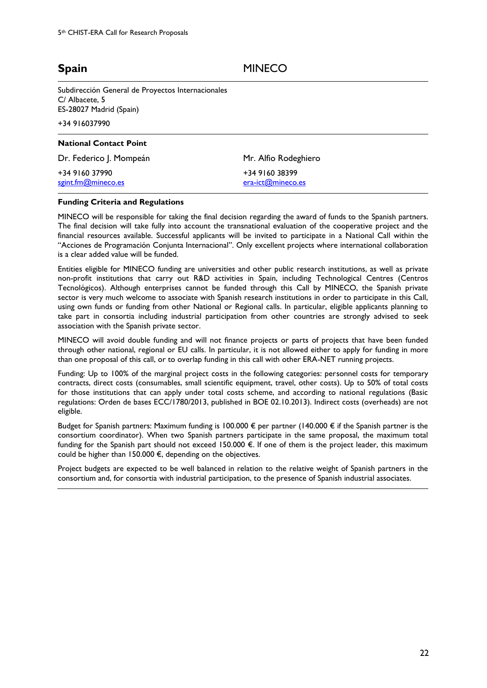**Spain** MINECO

Subdirección General de Proyectos Internacionales C/ Albacete, 5 ES-28027 Madrid (Spain)

+34 916037990

| <b>National Contact Point</b>        |                                     |
|--------------------------------------|-------------------------------------|
| Dr. Federico J. Mompeán              | Mr. Alfio Rodeghiero                |
| +34 9160 37990<br>sgint.fm@mineco.es | +34 9160 38399<br>era-ict@mineco.es |

#### **Funding Criteria and Regulations**

MINECO will be responsible for taking the final decision regarding the award of funds to the Spanish partners. The final decision will take fully into account the transnational evaluation of the cooperative project and the financial resources available. Successful applicants will be invited to participate in a National Call within the "Acciones de Programación Conjunta Internacional". Only excellent projects where international collaboration is a clear added value will be funded.

Entities eligible for MINECO funding are universities and other public research institutions, as well as private non-profit institutions that carry out R&D activities in Spain, including Technological Centres (Centros Tecnológicos). Although enterprises cannot be funded through this Call by MINECO, the Spanish private sector is very much welcome to associate with Spanish research institutions in order to participate in this Call, using own funds or funding from other National or Regional calls. In particular, eligible applicants planning to take part in consortia including industrial participation from other countries are strongly advised to seek association with the Spanish private sector.

MINECO will avoid double funding and will not finance projects or parts of projects that have been funded through other national, regional or EU calls. In particular, it is not allowed either to apply for funding in more than one proposal of this call, or to overlap funding in this call with other ERA-NET running projects.

Funding: Up to 100% of the marginal project costs in the following categories: personnel costs for temporary contracts, direct costs (consumables, small scientific equipment, travel, other costs). Up to 50% of total costs for those institutions that can apply under total costs scheme, and according to national regulations (Basic regulations: Orden de bases ECC/1780/2013, published in BOE 02.10.2013). Indirect costs (overheads) are not eligible.

Budget for Spanish partners: Maximum funding is 100.000 € per partner (140.000 € if the Spanish partner is the consortium coordinator). When two Spanish partners participate in the same proposal, the maximum total funding for the Spanish part should not exceed 150.000 €. If one of them is the project leader, this maximum could be higher than 150.000 €, depending on the objectives.

Project budgets are expected to be well balanced in relation to the relative weight of Spanish partners in the consortium and, for consortia with industrial participation, to the presence of Spanish industrial associates.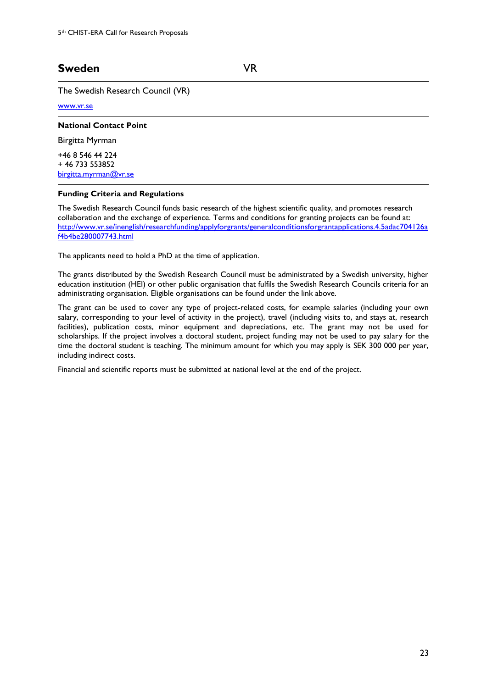## **Sweden** VR

The Swedish Research Council (VR)

#### [www.vr.se](http://www.vr.se/)

#### **National Contact Point**

Birgitta Myrman

+46 8 546 44 224 + 46 733 553852 [birgitta.myrman@vr.se](mailto:birgitta.myrman@vr.se)

#### **Funding Criteria and Regulations**

The Swedish Research Council funds basic research of the highest scientific quality, and promotes research collaboration and the exchange of experience. Terms and conditions for granting projects can be found at: [http://www.vr.se/inenglish/researchfunding/applyforgrants/generalconditionsforgrantapplications.4.5adac704126a](http://www.vr.se/inenglish/researchfunding/applyforgrants/generalconditionsforgrantapplications.4.5adac704126af4b4be280007743.html) [f4b4be280007743.html](http://www.vr.se/inenglish/researchfunding/applyforgrants/generalconditionsforgrantapplications.4.5adac704126af4b4be280007743.html)

The applicants need to hold a PhD at the time of application.

The grants distributed by the Swedish Research Council must be administrated by a Swedish university, higher education institution (HEI) or other public organisation that fulfils the Swedish Research Councils criteria for an administrating organisation. Eligible organisations can be found under the link above.

The grant can be used to cover any type of project-related costs, for example salaries (including your own salary, corresponding to your level of activity in the project), travel (including visits to, and stays at, research facilities), publication costs, minor equipment and depreciations, etc. The grant may not be used for scholarships. If the project involves a doctoral student, project funding may not be used to pay salary for the time the doctoral student is teaching. The minimum amount for which you may apply is SEK 300 000 per year, including indirect costs.

Financial and scientific reports must be submitted at national level at the end of the project.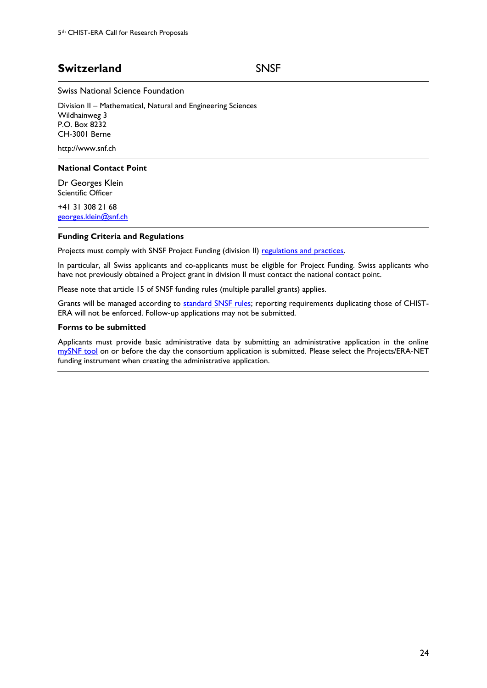## **Switzerland** SNSF

Swiss National Science Foundation

Division II – Mathematical, Natural and Engineering Sciences Wildhainweg 3 P.O. Box 8232 CH-3001 Berne

http://www.snf.ch

#### **National Contact Point**

Dr Georges Klein Scientific Officer

+41 31 308 21 68 [georges.klein@snf.ch](mailto:georges.klein@snf.ch)

#### **Funding Criteria and Regulations**

Projects must comply with SNSF Project Funding (division II) [regulations and practices.](http://www.snf.ch/en/funding/documents-downloads/Pages/default.aspx)

In particular, all Swiss applicants and co-applicants must be eligible for Project Funding. Swiss applicants who have not previously obtained a Project grant in division II must contact the national contact point.

Please note that article 15 of SNSF funding rules (multiple parallel grants) applies.

Grants will be managed according to [standard SNSF rules;](http://www.snf.ch/SiteCollectionDocuments/allg_lifetime_management_e.pdf) reporting requirements duplicating those of CHIST-ERA will not be enforced. Follow-up applications may not be submitted.

#### **Forms to be submitted**

Applicants must provide basic administrative data by submitting an administrative application in the online [mySNF tool](http://www.mysnf.ch/) on or before the day the consortium application is submitted. Please select the Projects/ERA-NET funding instrument when creating the administrative application.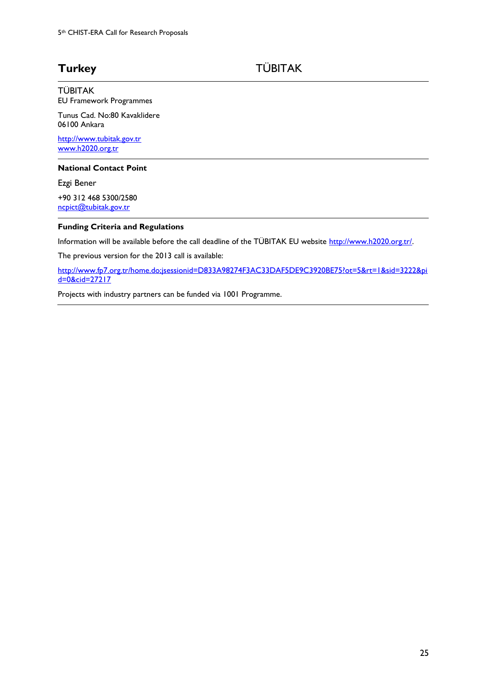## Turkey TÜBITAK

TÜBITAK EU Framework Programmes

Tunus Cad. No:80 Kavaklidere 06100 Ankara

[http://www.tubitak.gov.tr](http://www.tubitak.gov.tr/) [www.h2020.org.tr](http://www.h2020.org.tr/)

#### **National Contact Point**

Ezgi Bener +90 312 468 5300/2580 [ncpict@tubitak.gov.tr](mailto:ncpict@tubitak.gov.tr)

#### **Funding Criteria and Regulations**

Information will be available before the call deadline of the TÜBITAK EU website [http://www.h2020.org.tr/.](http://www.h2020.org.tr/)

The previous version for the 2013 call is available:

[http://www.fp7.org.tr/home.do;jsessionid=D833A98274F3AC33DAF5DE9C3920BE75?ot=5&rt=1&sid=3222&pi](http://www.fp7.org.tr/home.do;jsessionid=D833A98274F3AC33DAF5DE9C3920BE75?ot=5&rt=1&sid=3222&pid=0&cid=27217) [d=0&cid=27217](http://www.fp7.org.tr/home.do;jsessionid=D833A98274F3AC33DAF5DE9C3920BE75?ot=5&rt=1&sid=3222&pid=0&cid=27217)

Projects with industry partners can be funded via 1001 Programme.